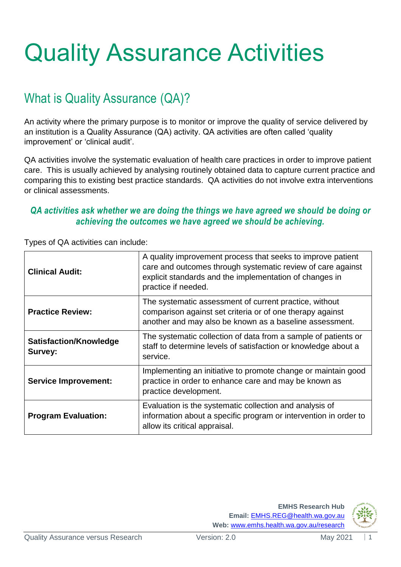# Quality Assurance Activities

## What is Quality Assurance (QA)?

An activity where the primary purpose is to monitor or improve the quality of service delivered by an institution is a Quality Assurance (QA) activity. QA activities are often called 'quality improvement' or 'clinical audit'.

QA activities involve the systematic evaluation of health care practices in order to improve patient care. This is usually achieved by analysing routinely obtained data to capture current practice and comparing this to existing best practice standards. QA activities do not involve extra interventions or clinical assessments.

#### *QA activities ask whether we are doing the things we have agreed we should be doing or achieving the outcomes we have agreed we should be achieving.*

| <b>Clinical Audit:</b>                   | A quality improvement process that seeks to improve patient<br>care and outcomes through systematic review of care against<br>explicit standards and the implementation of changes in<br>practice if needed. |
|------------------------------------------|--------------------------------------------------------------------------------------------------------------------------------------------------------------------------------------------------------------|
| <b>Practice Review:</b>                  | The systematic assessment of current practice, without<br>comparison against set criteria or of one therapy against<br>another and may also be known as a baseline assessment.                               |
| <b>Satisfaction/Knowledge</b><br>Survey: | The systematic collection of data from a sample of patients or<br>staff to determine levels of satisfaction or knowledge about a<br>service.                                                                 |
| <b>Service Improvement:</b>              | Implementing an initiative to promote change or maintain good<br>practice in order to enhance care and may be known as<br>practice development.                                                              |
| <b>Program Evaluation:</b>               | Evaluation is the systematic collection and analysis of<br>information about a specific program or intervention in order to<br>allow its critical appraisal.                                                 |

Types of QA activities can include:

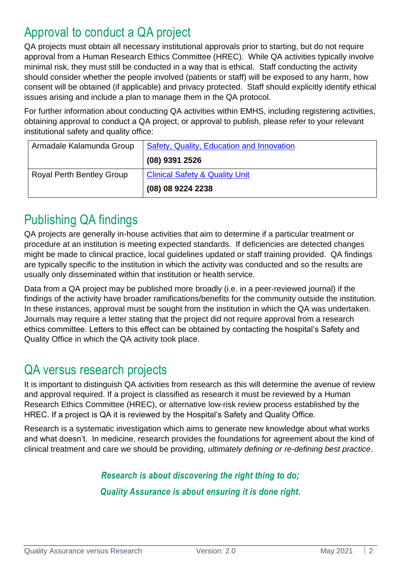#### Approval to conduct a QA project

QA projects must obtain all necessary institutional approvals prior to starting, but do not require approval from a Human Research Ethics Committee (HREC). While QA activities typically involve minimal risk, they must still be conducted in a way that is ethical. Staff conducting the activity should consider whether the people involved (patients or staff) will be exposed to any harm, how consent will be obtained (if applicable) and privacy protected. Staff should explicitly identify ethical issues arising and include a plan to manage them in the QA protocol.

For further information about conducting QA activities within EMHS, including registering activities, obtaining approval to conduct a QA project, or approval to publish, please refer to your relevant institutional safety and quality office:

| Armadale Kalamunda Group         | Safety, Quality, Education and Innovation |
|----------------------------------|-------------------------------------------|
|                                  | $(08)$ 9391 2526                          |
| <b>Royal Perth Bentley Group</b> | <b>Clinical Safety &amp; Quality Unit</b> |
|                                  | (08) 08 9224 2238                         |

## Publishing QA findings

QA projects are generally in-house activities that aim to determine if a particular treatment or procedure at an institution is meeting expected standards. If deficiencies are detected changes might be made to clinical practice, local guidelines updated or staff training provided. QA findings are typically specific to the institution in which the activity was conducted and so the results are usually only disseminated within that institution or health service.

Data from a QA project may be published more broadly (i.e. in a peer-reviewed journal) if the findings of the activity have broader ramifications/benefits for the community outside the institution. In these instances, approval must be sought from the institution in which the QA was undertaken. Journals may require a letter stating that the project did not require approval from a research ethics committee. Letters to this effect can be obtained by contacting the hospital's Safety and Quality Office in which the QA activity took place.

#### QA versus research projects

It is important to distinguish QA activities from research as this will determine the avenue of review and approval required. If a project is classified as research it must be reviewed by a Human Research Ethics Committee (HREC), or alternative low-risk review process established by the HREC. If a project is QA it is reviewed by the Hospital's Safety and Quality Office.

Research is a systematic investigation which aims to generate new knowledge about what works and what doesn't. In medicine, research provides the foundations for agreement about the kind of clinical treatment and care we should be providing, *ultimately defining or re-defining best practice*.

> *Research is about discovering the right thing to do; Quality Assurance is about ensuring it is done right.*